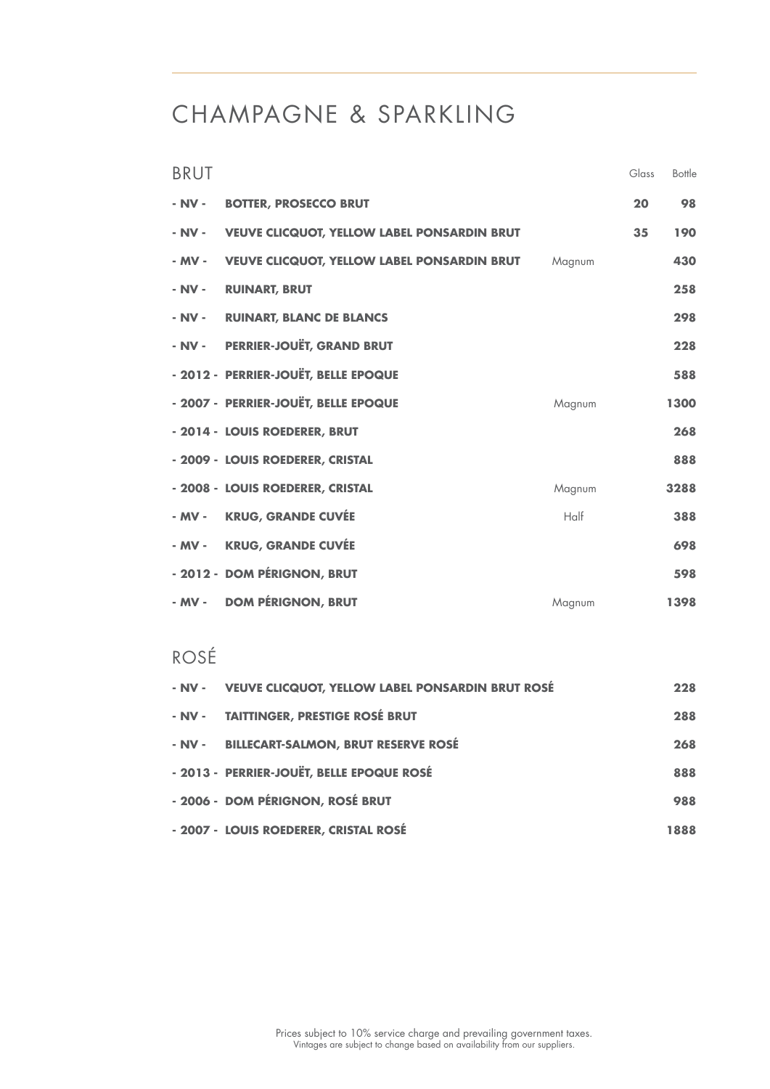### CHAMPAGNE & SPARKLING

| <b>BRUT</b> |                                                    |        | Glass | Bottle |
|-------------|----------------------------------------------------|--------|-------|--------|
| - NV -      | <b>BOTTER, PROSECCO BRUT</b>                       |        | 20    | 98     |
| $-$ NV $-$  | <b>VEUVE CLICQUOT, YELLOW LABEL PONSARDIN BRUT</b> |        | 35    | 190    |
| - MV -      | <b>VEUVE CLICQUOT, YELLOW LABEL PONSARDIN BRUT</b> | Magnum |       | 430    |
| - NV -      | <b>RUINART, BRUT</b>                               |        |       | 258    |
| $-$ NV $-$  | <b>RUINART, BLANC DE BLANCS</b>                    |        |       | 298    |
|             | - NV - PERRIER-JOUËT, GRAND BRUT                   |        |       | 228    |
|             | - 2012 - PERRIER-JOUËT, BELLE EPOQUE               |        |       | 588    |
|             | - 2007 - PERRIER-JOUËT, BELLE EPOQUE               | Magnum |       | 1300   |
|             | - 2014 - LOUIS ROEDERER, BRUT                      |        |       | 268    |
|             | - 2009 - LOUIS ROEDERER, CRISTAL                   |        |       | 888    |
|             | - 2008 - LOUIS ROEDERER, CRISTAL                   | Magnum |       | 3288   |
|             | - MV - KRUG, GRANDE CUVÉE                          | Half   |       | 388    |
| - MV -      | <b>KRUG, GRANDE CUVÉE</b>                          |        |       | 698    |
|             | - 2012 - DOM PÉRIGNON, BRUT                        |        |       | 598    |
| - MV -      | <b>DOM PÉRIGNON, BRUT</b>                          | Magnum |       | 1398   |

#### ROSÉ

| - NV - VEUVE CLICQUOT, YELLOW LABEL PONSARDIN BRUT ROSÉ | 228  |
|---------------------------------------------------------|------|
| - NV - TAITTINGER, PRESTIGE ROSÉ BRUT                   | 288  |
| - NV - BILLECART-SALMON, BRUT RESERVE ROSÉ              | 268  |
| - 2013 - PERRIER-JOUËT, BELLE EPOQUE ROSÉ               | 888  |
| - 2006 - DOM PÉRIGNON, ROSÉ BRUT                        | 988  |
| - 2007 - LOUIS ROEDERER, CRISTAL ROSÉ                   | 1888 |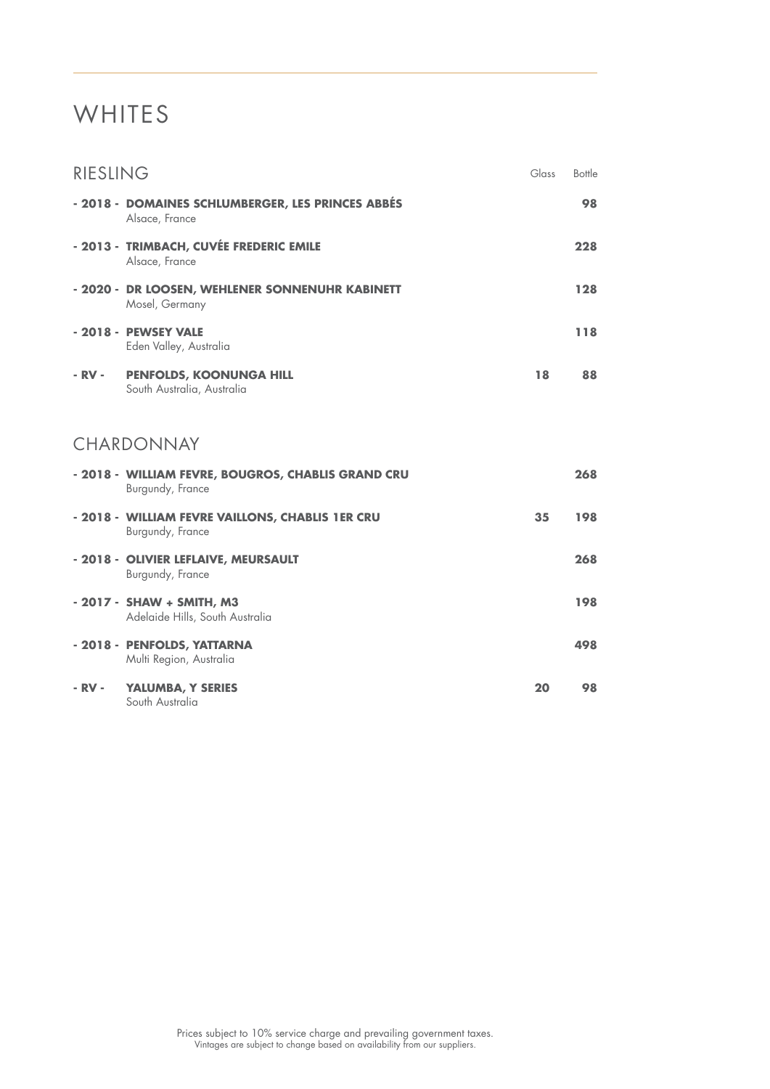## **WHITES**

| <b>RIESLING</b> |                                                                        | Glass | Bottle |
|-----------------|------------------------------------------------------------------------|-------|--------|
|                 | - 2018 - DOMAINES SCHLUMBERGER, LES PRINCES ABBÉS<br>Alsace, France    |       | 98     |
|                 | - 2013 - TRIMBACH, CUVÉE FREDERIC EMILE<br>Alsace, France              |       | 228    |
|                 | - 2020 - DR LOOSEN, WEHLENER SONNENUHR KABINETT<br>Mosel, Germany      |       | 128    |
|                 | - 2018 - PEWSEY VALE<br>Eden Valley, Australia                         |       | 118    |
| - RV -          | PENFOLDS, KOONUNGA HILL<br>South Australia, Australia                  | 18    | 88     |
|                 |                                                                        |       |        |
|                 | CHARDONNAY                                                             |       |        |
|                 | - 2018 - WILLIAM FEVRE, BOUGROS, CHABLIS GRAND CRU<br>Burgundy, France |       | 268    |
|                 | - 2018 - WILLIAM FEVRE VAILLONS, CHABLIS 1ER CRU<br>Burgundy, France   | 35    | 198    |
|                 | - 2018 - OLIVIER LEFLAIVE, MEURSAULT<br>Burgundy, France               |       | 268    |
|                 | - 2017 - SHAW + SMITH, M3<br>Adelaide Hills, South Australia           |       | 198    |
|                 | - 2018 - PENFOLDS, YATTARNA<br>Multi Region, Australia                 |       | 498    |
| - RV -          | YALUMBA, Y SERIES<br>South Australia                                   | 20    | 98     |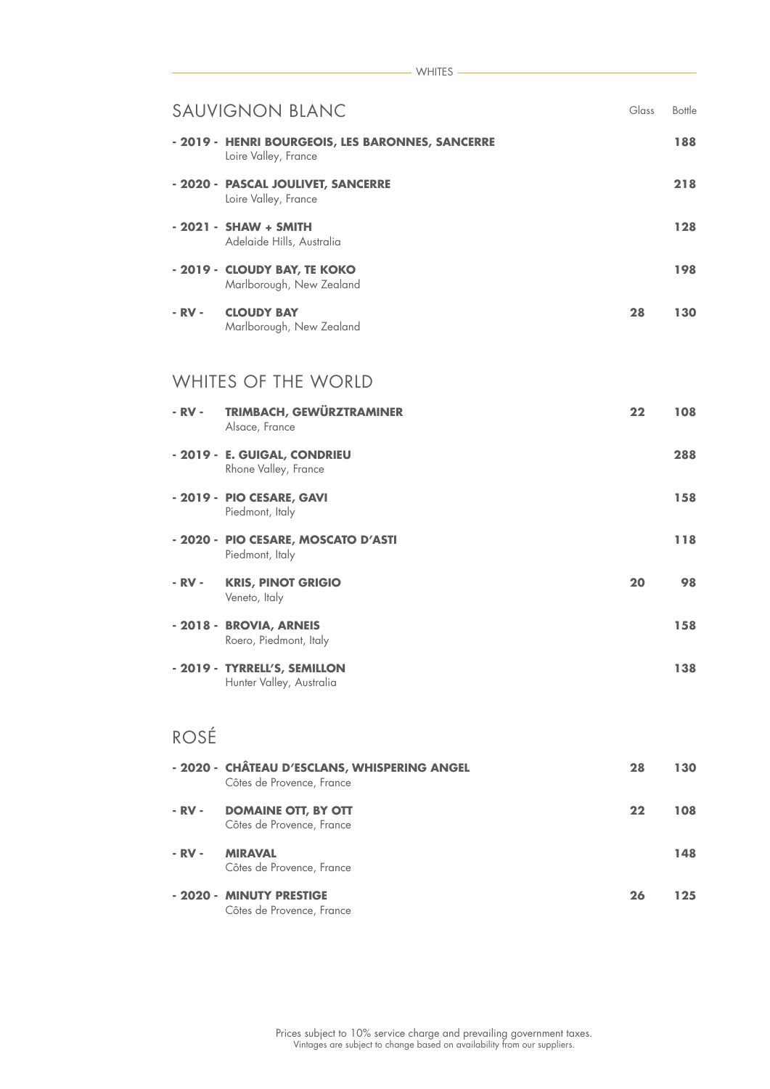|--|--|

|        | <b>SAUVIGNON BLANC</b>                                                    | Glass | Bottle |
|--------|---------------------------------------------------------------------------|-------|--------|
|        | - 2019 - HENRI BOURGEOIS, LES BARONNES, SANCERRE<br>Loire Valley, France  |       | 188    |
|        | - 2020 - PASCAL JOULIVET, SANCERRE<br>Loire Valley, France                |       | 218    |
|        | $-2021 - SHAW + SMITH$<br>Adelaide Hills, Australia                       |       | 128    |
|        | - 2019 - CLOUDY BAY, TE KOKO<br>Marlborough, New Zealand                  |       | 198    |
| - RV - | <b>CLOUDY BAY</b><br>Marlborough, New Zealand                             | 28    | 130    |
|        | WHITES OF THE WORLD                                                       |       |        |
| - RV - | <b>TRIMBACH, GEWÜRZTRAMINER</b><br>Alsace, France                         | 22    | 108    |
|        | - 2019 - E. GUIGAL, CONDRIEU<br>Rhone Valley, France                      |       | 288    |
|        | - 2019 - PIO CESARE, GAVI<br>Piedmont, Italy                              |       | 158    |
|        | - 2020 - PIO CESARE, MOSCATO D'ASTI<br>Piedmont, Italy                    |       | 118    |
| - RV - | <b>KRIS, PINOT GRIGIO</b><br>Veneto, Italy                                | 20    | 98     |
|        | - 2018 - BROVIA, ARNEIS<br>Roero, Piedmont, Italy                         |       | 158    |
|        | - 2019 - TYRRELL'S, SEMILLON<br>Hunter Valley, Australia                  |       | 138    |
| ROSÉ   |                                                                           |       |        |
|        | - 2020 - CHÂTEAU D'ESCLANS, WHISPERING ANGEL<br>Côtes de Provence, France | 28    | 130    |
| - RV - | <b>DOMAINE OTT, BY OTT</b><br>Côtes de Provence, France                   | 22    | 108    |
| - RV - | <b>MIRAVAL</b><br>Côtes de Provence, France                               |       | 148    |
|        | - 2020 - MINUTY PRESTIGE<br>Côtes de Provence, France                     | 26    | 125    |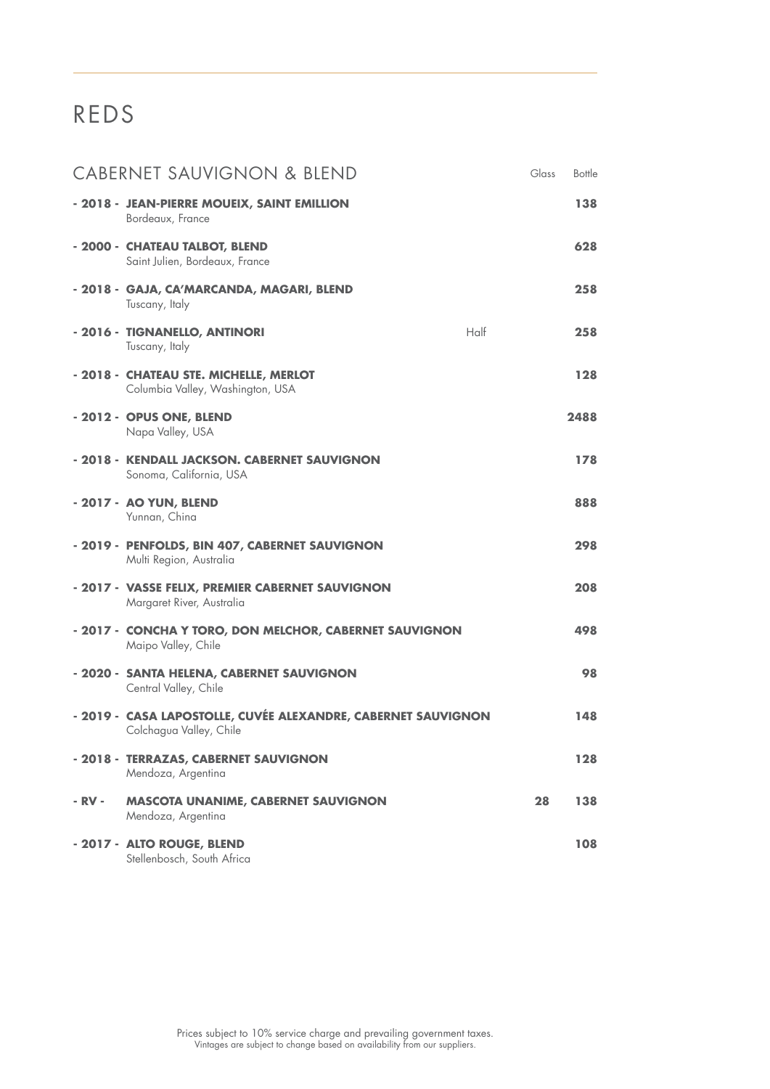## REDS

|        | <b>CABERNET SAUVIGNON &amp; BLEND</b>                                                    |         | Glass | Bottle |
|--------|------------------------------------------------------------------------------------------|---------|-------|--------|
|        | - 2018 - JEAN-PIERRE MOUEIX, SAINT EMILLION<br>Bordeaux, France                          |         |       | 138    |
|        | - 2000 - CHATEAU TALBOT, BLEND<br>Saint Julien, Bordeaux, France                         |         |       | 628    |
|        | - 2018 - GAJA, CA'MARCANDA, MAGARI, BLEND<br>Tuscany, Italy                              |         |       | 258    |
|        | - 2016 - TIGNANELLO, ANTINORI<br>Tuscany, Italy                                          | $H$ alf |       | 258    |
|        | - 2018 - CHATEAU STE. MICHELLE, MERLOT<br>Columbia Valley, Washington, USA               |         |       | 128    |
|        | - 2012 - OPUS ONE, BLEND<br>Napa Valley, USA                                             |         |       | 2488   |
|        | - 2018 - KENDALL JACKSON. CABERNET SAUVIGNON<br>Sonoma, California, USA                  |         |       | 178    |
|        | - 2017 - AO YUN, BLEND<br>Yunnan, China                                                  |         |       | 888    |
|        | - 2019 - PENFOLDS, BIN 407, CABERNET SAUVIGNON<br>Multi Region, Australia                |         |       | 298    |
|        | - 2017 - VASSE FELIX, PREMIER CABERNET SAUVIGNON<br>Margaret River, Australia            |         |       | 208    |
|        | - 2017 - CONCHA Y TORO, DON MELCHOR, CABERNET SAUVIGNON<br>Maipo Valley, Chile           |         |       | 498    |
|        | - 2020 - SANTA HELENA, CABERNET SAUVIGNON<br>Central Valley, Chile                       |         |       | 98     |
|        | - 2019 - CASA LAPOSTOLLE, CUVÉE ALEXANDRE, CABERNET SAUVIGNON<br>Colchagua Valley, Chile |         |       | 148    |
|        | - 2018 - TERRAZAS, CABERNET SAUVIGNON<br>Mendoza, Argentina                              |         |       | 128    |
| - RV - | <b>MASCOTA UNANIME, CABERNET SAUVIGNON</b><br>Mendoza, Argentina                         |         | 28    | 138    |
|        | - 2017 - ALTO ROUGE, BLEND<br>Stellenbosch, South Africa                                 |         |       | 108    |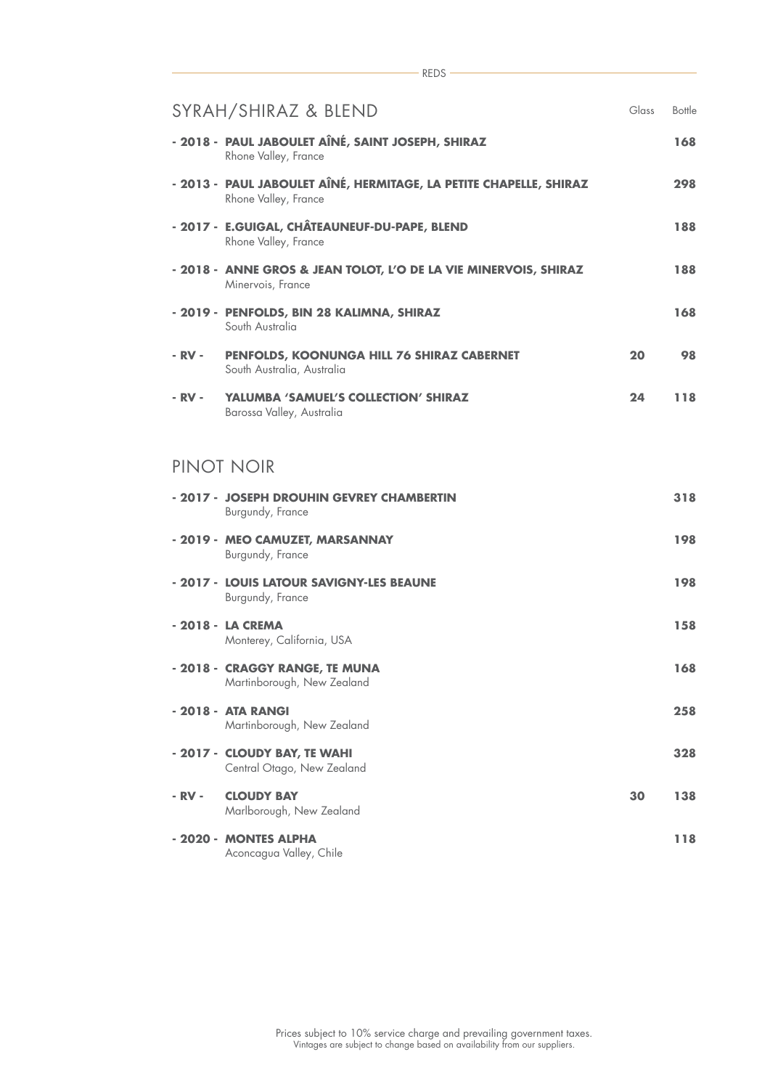|        | SYRAH/SHIRAZ & BLEND                                                                       | Glass | Bottle |
|--------|--------------------------------------------------------------------------------------------|-------|--------|
|        | - 2018 - PAUL JABOULET AÎNÉ, SAINT JOSEPH, SHIRAZ<br>Rhone Valley, France                  |       | 168    |
|        | - 2013 - PAUL JABOULET AÎNÉ, HERMITAGE, LA PETITE CHAPELLE, SHIRAZ<br>Rhone Valley, France |       | 298    |
|        | - 2017 - E.GUIGAL, CHÂTEAUNEUF-DU-PAPE, BLEND<br>Rhone Valley, France                      |       | 188    |
|        | - 2018 - ANNE GROS & JEAN TOLOT, L'O DE LA VIE MINERVOIS, SHIRAZ<br>Minervois, France      |       | 188    |
|        | - 2019 - PENFOLDS, BIN 28 KALIMNA, SHIRAZ<br>South Australia                               |       | 168    |
| - RV - | PENFOLDS, KOONUNGA HILL 76 SHIRAZ CABERNET<br>South Australia, Australia                   | 20    | 98     |
| - RV - | <b>YALUMBA 'SAMUEL'S COLLECTION' SHIRAZ</b><br>Barossa Valley, Australia                   | 24    | 118    |
|        | PINOT NOIR                                                                                 |       |        |
|        | - 2017 - JOSEPH DROUHIN GEVREY CHAMBERTIN<br>Burgundy, France                              |       | 318    |
|        | - 2019 - MEO CAMUZET, MARSANNAY<br>Burgundy, France                                        |       | 198    |
|        | - 2017 - LOUIS LATOUR SAVIGNY-LES BEAUNE<br>Burgundy, France                               |       | 198    |
|        | - 2018 - LA CREMA<br>Monterey, California, USA                                             |       | 158    |
|        | - 2018 - CRAGGY RANGE, TE MUNA<br>Martinborough, New Zealand                               |       | 168    |
|        | - 2018 - ATA RANGI<br>Martinborough, New Zealand                                           |       | 258    |
|        | - 2017 - CLOUDY BAY, TE WAHI<br>Central Otago, New Zealand                                 |       | 328    |
| - RV - | <b>CLOUDY BAY</b><br>Marlborough, New Zealand                                              | 30    | 138    |
|        | - 2020 - MONTES ALPHA<br>Aconcagua Valley, Chile                                           |       | 118    |

REDS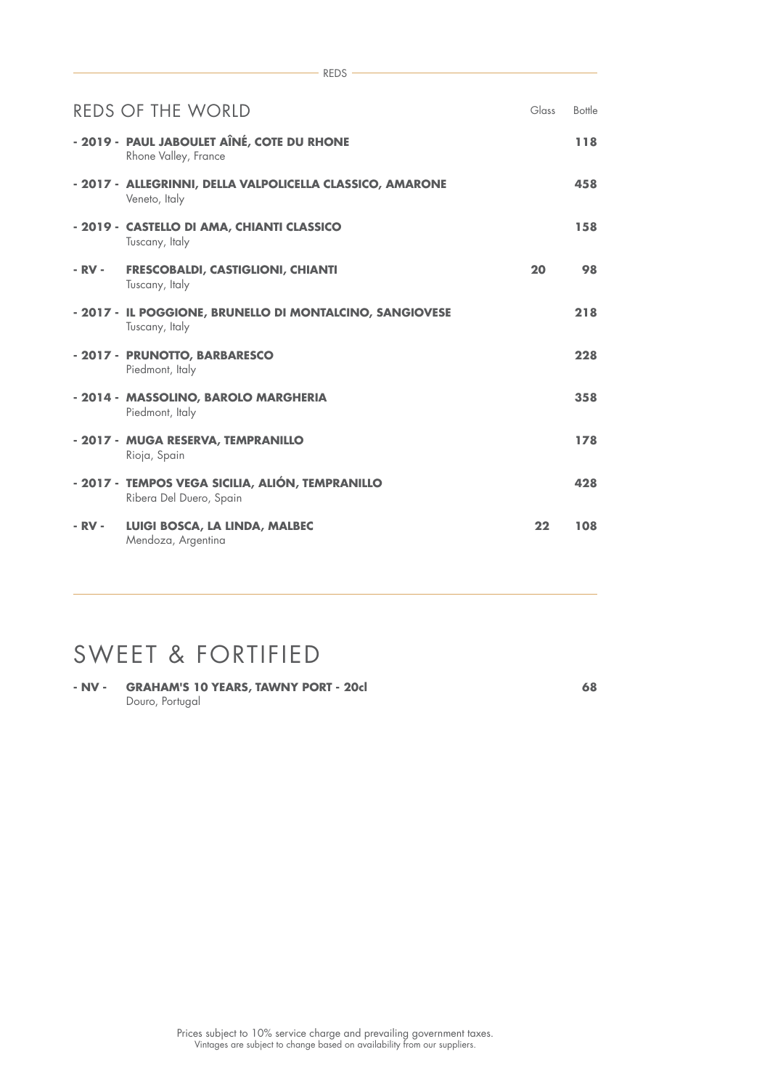|        | <b>REDS OF THE WORLD</b>                                                    | Glass | Bottle |
|--------|-----------------------------------------------------------------------------|-------|--------|
|        | - 2019 - PAUL JABOULET AÎNÉ, COTE DU RHONE<br>Rhone Valley, France          |       | 118    |
|        | - 2017 - ALLEGRINNI, DELLA VALPOLICELLA CLASSICO, AMARONE<br>Veneto, Italy  |       | 458    |
|        | - 2019 - CASTELLO DI AMA, CHIANTI CLASSICO<br>Tuscany, Italy                |       | 158    |
| - RV - | <b>FRESCOBALDI, CASTIGLIONI, CHIANTI</b><br>Tuscany, Italy                  | 20    | 98     |
|        | - 2017 - IL POGGIONE, BRUNELLO DI MONTALCINO, SANGIOVESE<br>Tuscany, Italy  |       | 218    |
|        | - 2017 - PRUNOTTO, BARBARESCO<br>Piedmont, Italy                            |       | 228    |
|        | - 2014 - MASSOLINO, BAROLO MARGHERIA<br>Piedmont, Italy                     |       | 358    |
|        | - 2017 - MUGA RESERVA, TEMPRANILLO<br>Rioja, Spain                          |       | 178    |
|        | - 2017 - TEMPOS VEGA SICILIA, ALIÓN, TEMPRANILLO<br>Ribera Del Duero, Spain |       | 428    |
| - RV - | LUIGI BOSCA, LA LINDA, MALBEC<br>Mendoza, Argentina                         | 22    | 108    |

 $-$  REDS  $-$ 

#### SWEET & FORTIFIED

**- NV - GRAHAM'S 10 YEARS, TAWNY PORT - 20cl 68** Douro, Portugal